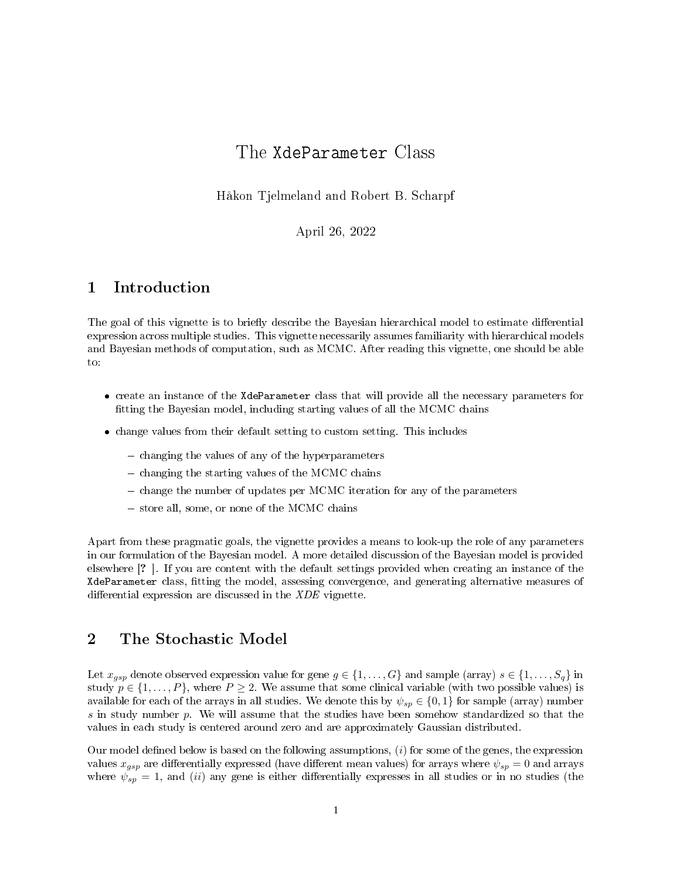# The XdeParameter Class

Håkon Tjelmeland and Robert B. Scharpf

April 26, 2022

## 1 Introduction

The goal of this vignette is to briefly describe the Bayesian hierarchical model to estimate differential expression across multiple studies. This vignette necessarily assumes familiarity with hierarchical models and Bayesian methods of computation, such as MCMC. After reading this vignette, one should be able to:

- create an instance of the XdeParameter class that will provide all the necessary parameters for tting the Bayesian model, including starting values of all the MCMC chains
- change values from their default setting to custom setting. This includes
	- $\overline{\phantom{a}}$  changing the values of any of the hyperparameters
	- $\sim$  changing the starting values of the MCMC chains
	- change the number of updates per MCMC iteration for any of the parameters
	- store all, some, or none of the MCMC chains

Apart from these pragmatic goals, the vignette provides a means to look-up the role of any parameters in our formulation of the Bayesian model. A more detailed discussion of the Bayesian model is provided elsewhere [? ]. If you are content with the default settings provided when creating an instance of the XdeParameter class, tting the model, assessing convergence, and generating alternative measures of differential expression are discussed in the  $XDE$  vignette.

### <span id="page-0-0"></span>2 The Stochastic Model

Let  $x_{gsp}$  denote observed expression value for gene  $g \in \{1, \ldots, G\}$  and sample (array)  $s \in \{1, \ldots, S_q\}$  in study  $p \in \{1, \ldots, P\}$ , where  $P \geq 2$ . We assume that some clinical variable (with two possible values) is available for each of the arrays in all studies. We denote this by  $\psi_{sp} \in \{0,1\}$  for sample (array) number s in study number  $p$ . We will assume that the studies have been somehow standardized so that the values in each study is centered around zero and are approximately Gaussian distributed.

Our model defined below is based on the following assumptions,  $(i)$  for some of the genes, the expression values  $x_{gsp}$  are differentially expressed (have different mean values) for arrays where  $\psi_{sp} = 0$  and arrays where  $\psi_{sp} = 1$ , and (ii) any gene is either differentially expresses in all studies or in no studies (the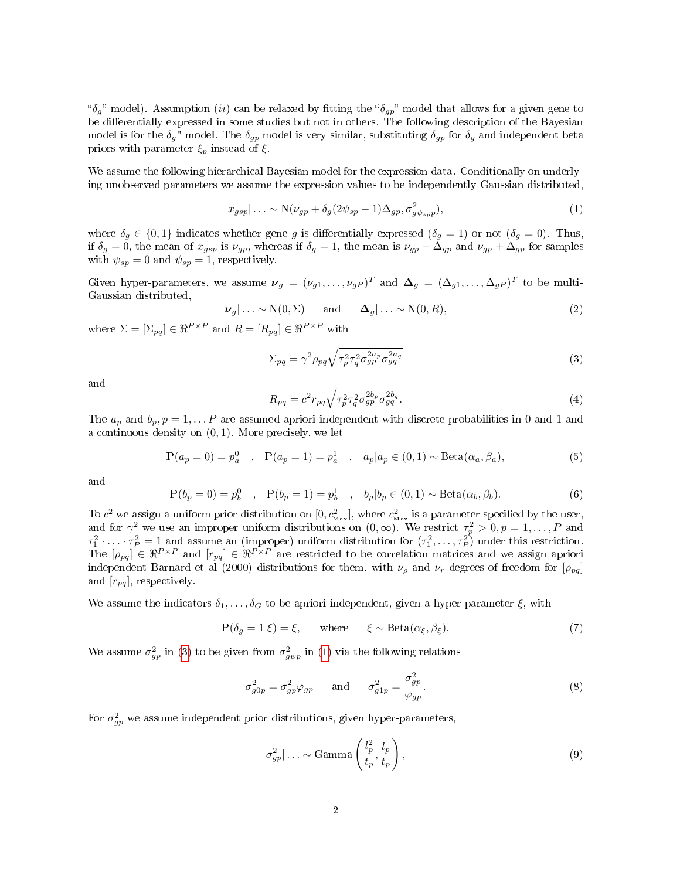" $\delta_g$ " model). Assumption (ii) can be relaxed by fitting the " $\delta_{gp}$ " model that allows for a given gene to be differentially expressed in some studies but not in others. The following description of the Bayesian model is for the  $\delta_g$ " model. The  $\delta_{gp}$  model is very similar, substituting  $\delta_{gp}$  for  $\delta_g$  and independent beta priors with parameter  $\xi_p$  instead of  $\xi$ .

We assume the following hierarchical Bayesian model for the expression data. Conditionally on underlying unobserved parameters we assume the expression values to be independently Gaussian distributed,

<span id="page-1-1"></span>
$$
x_{gsp}|\ldots \sim \mathcal{N}(\nu_{gp} + \delta_g(2\psi_{sp} - 1)\Delta_{gp}, \sigma^2_{g\psi_{sp}p}),
$$
\n(1)

where  $\delta_q \in \{0,1\}$  indicates whether gene g is differentially expressed  $(\delta_q = 1)$  or not  $(\delta_q = 0)$ . Thus, if  $\delta_g = 0$ , the mean of  $x_{gsp}$  is  $\nu_{gp}$ , whereas if  $\delta_g = 1$ , the mean is  $\nu_{gp} - \Delta_{gp}$  and  $\nu_{gp} + \Delta_{gp}$  for samples with  $\psi_{sp} = 0$  and  $\psi_{sp} = 1$ , respectively.

Given hyper-parameters, we assume  $\bm{\nu}_g = (\nu_{g1}, \dots, \nu_{gP})^T$  and  $\bm{\Delta}_g = (\Delta_{g1}, \dots, \Delta_{gP})^T$  to be multi-Gaussian distributed,

$$
\nu_g|\ldots \sim N(0,\Sigma) \quad \text{and} \quad \Delta_g|\ldots \sim N(0,R), \tag{2}
$$

where  $\Sigma = [\Sigma_{pq}] \in \Re^{P \times P}$  and  $R = [R_{pq}] \in \Re^{P \times P}$  with

<span id="page-1-0"></span>
$$
\Sigma_{pq} = \gamma^2 \rho_{pq} \sqrt{\tau_p^2 \tau_q^2 \sigma_{gp}^{2a_p} \sigma_{gq}^{2a_q}}
$$
\n(3)

and

$$
R_{pq} = c^2 r_{pq} \sqrt{\tau_p^2 \tau_q^2 \sigma_{gp}^{2b_p} \sigma_{gq}^{2b_q}}.
$$
\n(4)

The  $a_p$  and  $b_p, p = 1, \ldots P$  are assumed apriori independent with discrete probabilities in 0 and 1 and a continuous density on  $(0, 1)$ . More precisely, we let

$$
P(a_p = 0) = p_a^0
$$
,  $P(a_p = 1) = p_a^1$ ,  $a_p | a_p \in (0, 1) \sim \text{Beta}(\alpha_a, \beta_a),$  (5)

and

$$
P(b_p = 0) = p_b^0
$$
,  $P(b_p = 1) = p_b^1$ ,  $b_p | b_p \in (0, 1) \sim \text{Beta}(\alpha_b, \beta_b).$  (6)

To  $c^2$  we assign a uniform prior distribution on  $[0, c^2_{\text{Max}}]$ , where  $c^2_{\text{Max}}$  is a parameter specified by the user, and for  $\gamma^2$  we use an improper uniform distributions on  $(0, \infty)$ . We restrict  $\tau_p^2 > 0, p = 1, \ldots, P$  and  $\tau_1^2 \cdot \ldots \cdot \tau_P^2 = 1$  and assume an (improper) uniform distribution for  $(\tau_1^2, \ldots, \tau_P^2)$  under this restriction. The  $[\rho_{pq}] \in \Re^{P \times P}$  and  $[r_{pq}] \in \Re^{P \times P}$  are restricted to be correlation matrices and we assign apriori independent Barnard et al (2000) distributions for them, with  $\nu_{\rho}$  and  $\nu_{r}$  degrees of freedom for  $[\rho_{pq}]$ and  $[r_{pq}]$ , respectively.

We assume the indicators  $\delta_1, \ldots, \delta_G$  to be apriori independent, given a hyper-parameter  $\xi$ , with

$$
P(\delta_g = 1|\xi) = \xi, \quad \text{where} \quad \xi \sim \text{Beta}(\alpha_{\xi}, \beta_{\xi}). \tag{7}
$$

We assume  $\sigma_{gp}^2$  in [\(3\)](#page-1-0) to be given from  $\sigma_{g\psi p}^2$  in [\(1\)](#page-1-1) via the following relations

$$
\sigma_{g0p}^2 = \sigma_{gp}^2 \varphi_{gp} \quad \text{and} \quad \sigma_{g1p}^2 = \frac{\sigma_{gp}^2}{\varphi_{gp}}.
$$
 (8)

For  $\sigma_{gp}^2$  we assume independent prior distributions, given hyper-parameters,

$$
\sigma_{gp}^2 | \dots \sim \text{Gamma}\left(\frac{l_p^2}{t_p}, \frac{l_p}{t_p}\right),\tag{9}
$$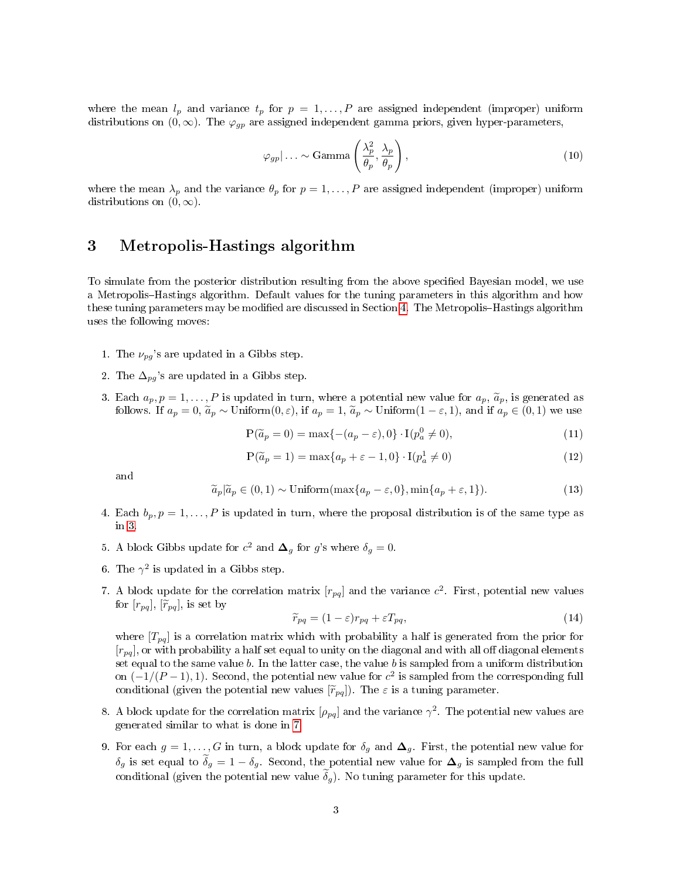where the mean  $l_p$  and variance  $t_p$  for  $p = 1, \ldots, P$  are assigned independent (improper) uniform distributions on  $(0, \infty)$ . The  $\varphi_{qp}$  are assigned independent gamma priors, given hyper-parameters,

$$
\varphi_{gp} \mid \dots \sim \text{Gamma}\left(\frac{\lambda_p^2}{\theta_p}, \frac{\lambda_p}{\theta_p}\right),
$$
\n(10)

where the mean  $\lambda_p$  and the variance  $\theta_p$  for  $p = 1, \ldots, P$  are assigned independent (improper) uniform distributions on  $(0, \infty)$ .

## <span id="page-2-2"></span>3 Metropolis-Hastings algorithm

To simulate from the posterior distribution resulting from the above specified Bayesian model, we use a Metropolis-Hastings algorithm. Default values for the tuning parameters in this algorithm and how these tuning parameters may be modified are discussed in Section [4.](#page-3-0) The Metropolis-Hastings algorithm uses the following moves:

- 1. The  $\nu_{pq}$ 's are updated in a Gibbs step.
- 2. The  $\Delta_{pq}$ 's are updated in a Gibbs step.
- <span id="page-2-0"></span>3. Each  $a_p, p = 1, \ldots, P$  is updated in turn, where a potential new value for  $a_p, \tilde{a}_p$ , is generated as follows. If  $a_p = 0$ ,  $\widetilde{a}_p \sim \text{Uniform}(0, \varepsilon)$ , if  $a_p = 1$ ,  $\widetilde{a}_p \sim \text{Uniform}(1 - \varepsilon, 1)$ , and if  $a_p \in (0, 1)$  we use

$$
P(\tilde{a}_p = 0) = \max\{- (a_p - \varepsilon), 0\} \cdot I(p_a^0 \neq 0),
$$
\n(11)

$$
P(\tilde{a}_p = 1) = \max\{a_p + \varepsilon - 1, 0\} \cdot I(p_a^1 \neq 0)
$$
\n(12)

and

$$
\widetilde{a}_p|\widetilde{a}_p\in(0,1)\sim \text{Uniform}(\max\{a_p-\varepsilon,0\},\min\{a_p+\varepsilon,1\}).\tag{13}
$$

- 4. Each  $b_p, p = 1, \ldots, P$  is updated in turn, where the proposal distribution is of the same type as in [3.](#page-2-0)
- 5. A block Gibbs update for  $c^2$  and  $\Delta_g$  for g's where  $\delta_g = 0$ .
- 6. The  $\gamma^2$  is updated in a Gibbs step.
- <span id="page-2-1"></span>7. A block update for the correlation matrix  $[r_{pq}]$  and the variance  $c^2$ . First, potential new values for  $[r_{pq}], \tilde{r}_{pq}],$  is set by

$$
\widetilde{r}_{pq} = (1 - \varepsilon)r_{pq} + \varepsilon T_{pq},\tag{14}
$$

where  $[T_{pq}]$  is a correlation matrix which with probability a half is generated from the prior for  $[r_{pq}]$ , or with probability a half set equal to unity on the diagonal and with all off diagonal elements set equal to the same value  $b$ . In the latter case, the value  $b$  is sampled from a uniform distribution on  $(-1/(P-1), 1)$ . Second, the potential new value for  $c^2$  is sampled from the corresponding full conditional (given the potential new values  $[\widetilde{r}_{pq}]$ ). The  $\varepsilon$  is a tuning parameter.

- 8. A block update for the correlation matrix  $[\rho_{pq}]$  and the variance  $\gamma^2$ . The potential new values are generated similar to what is done in [7.](#page-2-1)
- 9. For each  $g = 1, \ldots, G$  in turn, a block update for  $\delta_g$  and  $\Delta_g$ . First, the potential new value for  $\delta_g$  is set equal to  $\tilde{\delta}_g = 1 - \delta_g$ . Second, the potential new value for  $\Delta_g$  is sampled from the full conditional (given the potential new value  $\delta_g$ ). No tuning parameter for this update.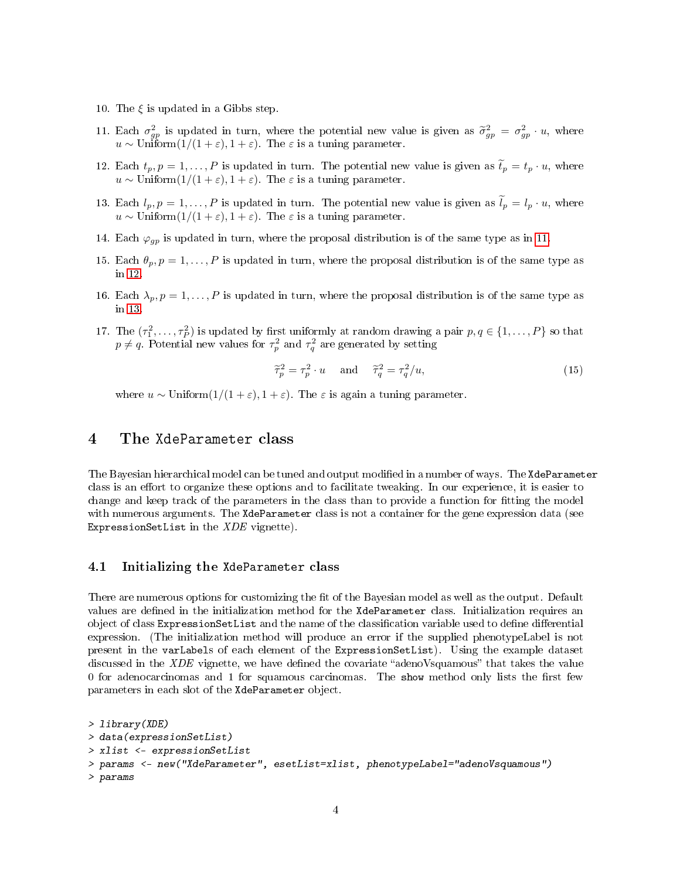- 10. The  $\xi$  is updated in a Gibbs step.
- <span id="page-3-1"></span>11. Each  $\sigma_{gp}^2$  is updated in turn, where the potential new value is given as  $\tilde{\sigma}_{gp}^2 = \sigma_{gp}^2 \cdot u$ , where  $u \sim \text{Uniform}(1/(1+\varepsilon), 1+\varepsilon)$ . The  $\varepsilon$  is a tuning parameter.
- <span id="page-3-2"></span>12. Each  $t_p, p = 1, ..., P$  is updated in turn. The potential new value is given as  $\tilde{t}_p = t_p \cdot u$ , where  $u \sim \text{Uniform}(1/(1+\varepsilon), 1+\varepsilon)$ . The  $\varepsilon$  is a tuning parameter.
- <span id="page-3-3"></span>13. Each  $l_p, p = 1, \ldots, P$  is updated in turn. The potential new value is given as  $\tilde{l}_p = l_p \cdot u$ , where  $u \sim \text{Uniform}(1/(1+\varepsilon), 1+\varepsilon)$ . The  $\varepsilon$  is a tuning parameter.
- 14. Each  $\varphi_{gp}$  is updated in turn, where the proposal distribution is of the same type as in [11.](#page-3-1)
- 15. Each  $\theta_p, p = 1, \ldots, P$  is updated in turn, where the proposal distribution is of the same type as in [12.](#page-3-2)
- 16. Each  $\lambda_p, p = 1, \ldots, P$  is updated in turn, where the proposal distribution is of the same type as in [13.](#page-3-3)
- 17. The  $(\tau_1^2, \ldots, \tau_p^2)$  is updated by first uniformly at random drawing a pair  $p, q \in \{1, \ldots, P\}$  so that  $p \neq q$ . Potential new values for  $\tau_p^2$  and  $\tau_q^2$  are generated by setting

$$
\widetilde{\tau}_p^2 = \tau_p^2 \cdot u \quad \text{and} \quad \widetilde{\tau}_q^2 = \tau_q^2 / u,\tag{15}
$$

where  $u \sim \text{Uniform}(1/(1+\varepsilon), 1+\varepsilon)$ . The  $\varepsilon$  is again a tuning parameter.

### <span id="page-3-0"></span>4 The XdeParameter class

The Bayesian hierarchical model can be tuned and output modified in a number of ways. The XdeParameter class is an effort to organize these options and to facilitate tweaking. In our experience, it is easier to change and keep track of the parameters in the class than to provide a function for tting the model with numerous arguments. The XdeParameter class is not a container for the gene expression data (see ExpressionSetList in the  $XDE$  vignette).

#### 4.1 Initializing the XdeParameter class

There are numerous options for customizing the fit of the Bayesian model as well as the output. Default values are defined in the initialization method for the XdeParameter class. Initialization requires an object of class ExpressionSetList and the name of the classification variable used to define differential expression. (The initialization method will produce an error if the supplied phenotypeLabel is not present in the varLabels of each element of the ExpressionSetList). Using the example dataset discussed in the  $XDE$  vignette, we have defined the covariate "adenoVsquamous" that takes the value  $0$  for adenocarcinomas and  $1$  for squamous carcinomas. The show method only lists the first few parameters in each slot of the XdeParameter object.

```
> library(XDE)
> data(expressionSetList)
> xlist <- expressionSetList
> params <- new("XdeParameter", esetList=xlist, phenotypeLabel="adenoVsquamous")
> params
```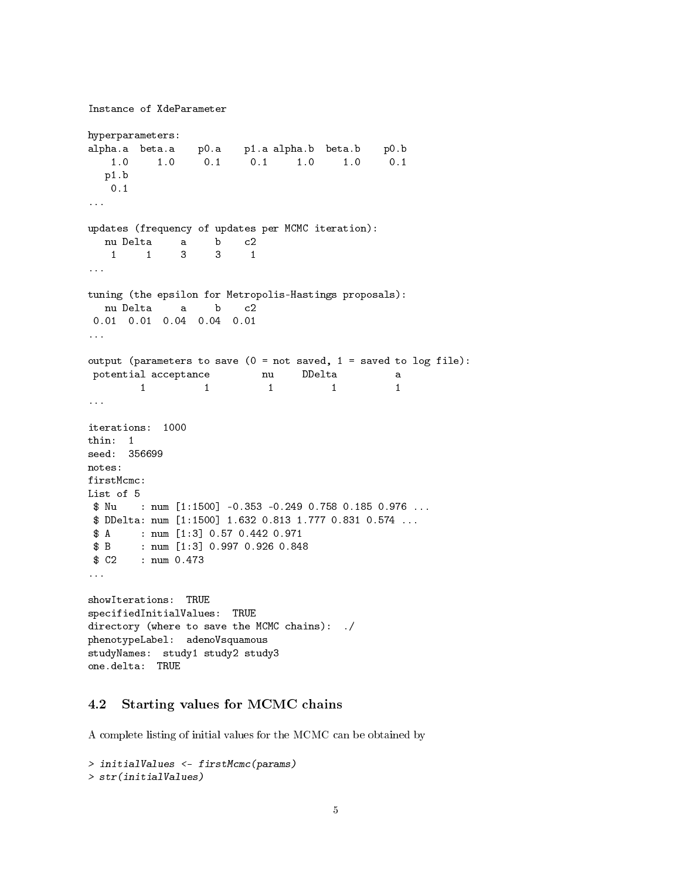```
Instance of XdeParameter
hyperparameters:
alpha.a beta.a p0.a p1.a alpha.b beta.b p0.b
   1.0 1.0 0.1 0.1 1.0 1.0 0.1
  p1.b
   0.1
...
updates (frequency of updates per MCMC iteration):
  nu Delta a b c2
   1 1 3 3 1
...
tuning (the epsilon for Metropolis-Hastings proposals):
  nu Delta a b c2
0.01 0.01 0.04 0.04 0.01
...
output (parameters to save (0 = not saved, 1 = saved to log file):
potential acceptance nu DDelta a
        1 1 1 1
...
iterations: 1000
thin: 1
seed: 356699
notes:
firstMcmc:
List of 5
$ Nu : num [1:1500] -0.353 -0.249 0.758 0.185 0.976 ...
$ DDelta: num [1:1500] 1.632 0.813 1.777 0.831 0.574 ...
$ A : num [1:3] 0.57 0.442 0.971
$ B : num [1:3] 0.997 0.926 0.848
$ C2 : num 0.473
...
showIterations: TRUE
specifiedInitialValues: TRUE
directory (where to save the MCMC chains): ./
phenotypeLabel: adenoVsquamous
studyNames: study1 study2 study3
one.delta: TRUE
```
### 4.2 Starting values for MCMC chains

A complete listing of initial values for the MCMC can be obtained by

```
> initialValues <- firstMcmc(params)
> str(initialValues)
```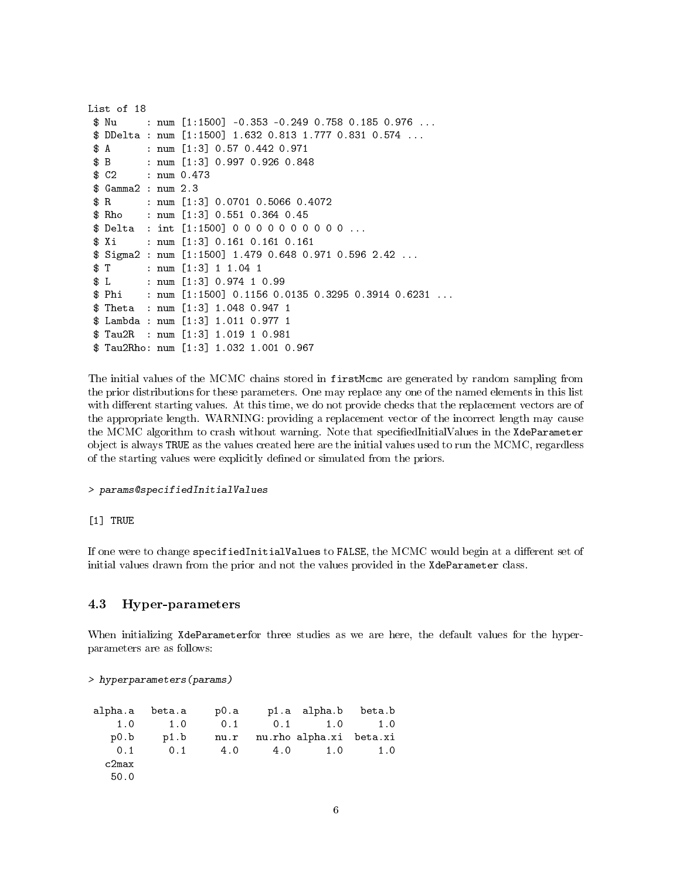```
List of 18
 $ Nu : num [1:1500] -0.353 -0.249 0.758 0.185 0.976 ...
 $ DDelta : num [1:1500] 1.632 0.813 1.777 0.831 0.574 ...
 $ A : num [1:3] 0.57 0.442 0.971
 $ B : num [1:3] 0.997 0.926 0.848
 $ C2 : num 0.473
 $ Gamma2 : num 2.3
 $ R : num [1:3] 0.0701 0.5066 0.4072
 $ Rho : num [1:3] 0.551 0.364 0.45
 $ Delta : int [1:1500] 0 0 0 0 0 0 0 0 0 0 ...
 $ Xi : num [1:3] 0.161 0.161 0.161
 $ Sigma2 : num [1:1500] 1.479 0.648 0.971 0.596 2.42 ...
 $ T : num [1:3] 1 1.04 1
 $ L : num [1:3] 0.974 1 0.99
 $ Phi : num [1:1500] 0.1156 0.0135 0.3295 0.3914 0.6231 ...
 $ Theta : num [1:3] 1.048 0.947 1
 $ Lambda : num [1:3] 1.011 0.977 1
 $ Tau2R : num [1:3] 1.019 1 0.981
 $ Tau2Rho: num [1:3] 1.032 1.001 0.967
```
The initial values of the MCMC chains stored in firstMcmc are generated by random sampling from the prior distributions for these parameters. One may replace any one of the named elements in this list with different starting values. At this time, we do not provide checks that the replacement vectors are of the appropriate length. WARNING: providing a replacement vector of the incorrect length may cause the MCMC algorithm to crash without warning. Note that specifiedInitialValues in the XdeParameter object is always TRUE as the values created here are the initial values used to run the MCMC, regardless of the starting values were explicitly defined or simulated from the priors.

#### > params@specifiedInitialValues

#### [1] TRUE

If one were to change specifiedInitialValues to FALSE, the MCMC would begin at a different set of initial values drawn from the prior and not the values provided in the XdeParameter class.

### 4.3 Hyper-parameters

When initializing XdeParameterfor three studies as we are here, the default values for the hyperparameters are as follows:

#### > hyperparameters(params)

| alpha.a | beta.a | p0.a |     | p1.a alpha.b            | beta.b |
|---------|--------|------|-----|-------------------------|--------|
| 1.0     | 1.0    | 0.1  | 0.1 | 1.0                     | 1.0    |
| p0.b    | p1.b   | nu.r |     | nu.rho alpha.xi beta.xi |        |
| 0.1     | 0.1    | 4.0  | 4.0 | 1.0                     | 1.0    |
| c2max   |        |      |     |                         |        |
| 50.0    |        |      |     |                         |        |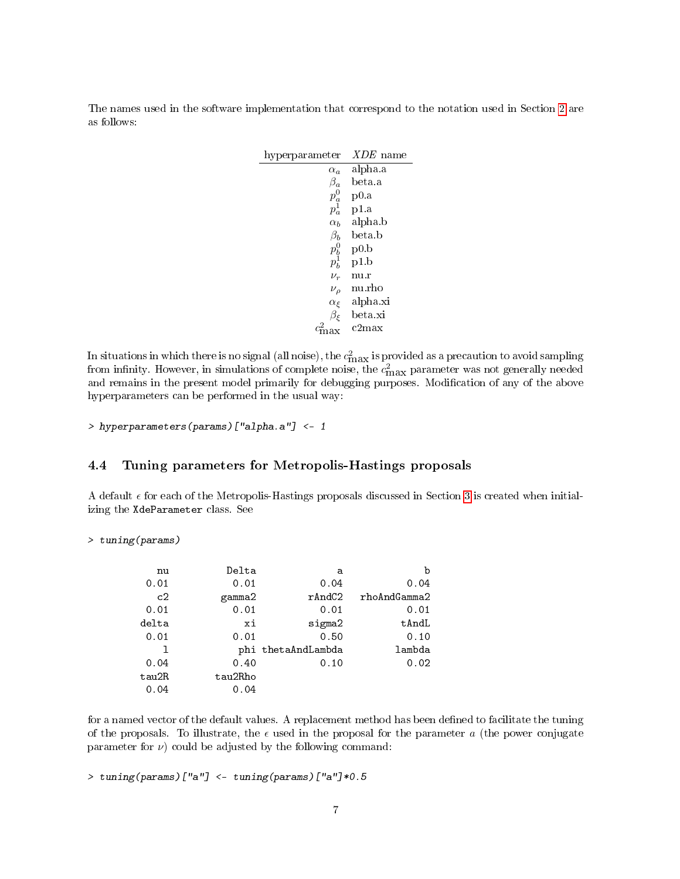The names used in the software implementation that correspond to the notation used in Section [2](#page-0-0) are as follows:

| hyperparameter        | $XDE$ name |
|-----------------------|------------|
| $\alpha_a$            | alpha a    |
| $\beta_a$             | beta a     |
| $p^0_a$<br>$p^1_a$    | p0.a       |
|                       | p1.a       |
| $\alpha_b$            | alpha b    |
| $\beta_b$             | beta.b     |
| $p_b^0$               | p0.b       |
| $p_b^{\bar{1}}$       | p1.b       |
| $\nu_r$               | nu.r       |
| $\nu_{\rho}$          | nu.rho     |
| $\alpha_{\xi}$        | alpha.xi   |
| $\beta_{\mathcal{E}}$ | beta.xi    |
|                       | c2max      |

In situations in which there is no signal (all noise), the  $c_{\max}^2$  is provided as a precaution to avoid sampling from infinity. However, in simulations of complete noise, the  $c_{\rm max}^2$  parameter was not generally needed and remains in the present model primarily for debugging purposes. Modification of any of the above hyperparameters can be performed in the usual way:

> hyperparameters(params)["alpha.a"] <- 1

### 4.4 Tuning parameters for Metropolis-Hastings proposals

 $\overline{a}$ 

A default  $\epsilon$  for each of the Metropolis-Hastings proposals discussed in Section [3](#page-2-2) is created when initializing the XdeParameter class. See

> tuning(params)

| nu    | Delta   | a                  | b            |
|-------|---------|--------------------|--------------|
| 0.01  | 0.01    | 0.04               | 0.04         |
| c2    | gamma2  | $r$ And $C2$       | rhoAndGamma2 |
| 0.01  | 0.01    | 0.01               | 0.01         |
| delta | хi      | sigma2             | tAndL        |
| 0.01  | 0.01    | 0.50               | 0.10         |
| ı     |         | phi thetaAndLambda | lambda       |
| 0.04  | 0.40    | 0.10               | 0.02         |
| tau2R | tau2Rho |                    |              |
| 0.04  | 0.04    |                    |              |

for a named vector of the default values. A replacement method has been defined to facilitate the tuning of the proposals. To illustrate, the  $\epsilon$  used in the proposal for the parameter a (the power conjugate parameter for  $\nu$ ) could be adjusted by the following command:

> tuning(params)["a"] <- tuning(params)["a"]\*0.5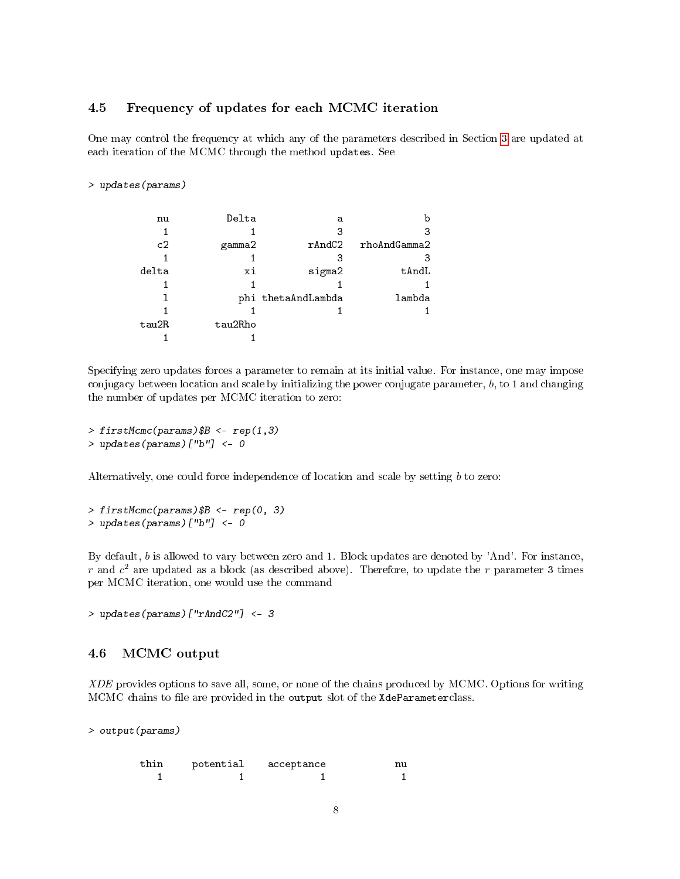#### 4.5 Frequency of updates for each MCMC iteration

One may control the frequency at which any of the parameters described in Section [3](#page-2-2) are updated at each iteration of the MCMC through the method updates. See

#### > updates(params)

| nu    | Delta   | a                  | b            |
|-------|---------|--------------------|--------------|
|       |         | 3                  | 3            |
| c2    | gamma2  | rAndC2             | rhoAndGamma2 |
|       |         | 3                  | З            |
| delta | хi      | sigma2             | tAndL        |
|       |         |                    |              |
|       |         | phi thetaAndLambda | lambda       |
|       |         |                    |              |
| tau2R | tau2Rho |                    |              |
|       |         |                    |              |

Specifying zero updates forces a parameter to remain at its initial value. For instance, one may impose conjugacy between location and scale by initializing the power conjugate parameter,  $b$ , to 1 and changing the number of updates per MCMC iteration to zero:

```
> firstMcmc(params) $B <- rep(1,3)
```
> updates(params)["b"] <- 0

Alternatively, one could force independence of location and scale by setting b to zero:

 $>$  firstMcmc(params) \$B <- rep(0, 3) > updates(params)["b"] <- 0

By default, b is allowed to vary between zero and 1. Block updates are denoted by 'And'. For instance, r and  $c^2$  are updated as a block (as described above). Therefore, to update the r parameter 3 times per MCMC iteration, one would use the command

> updates(params)["rAndC2"] <- 3

### 4.6 MCMC output

XDE provides options to save all, some, or none of the chains produced by MCMC. Options for writing MCMC chains to file are provided in the output slot of the XdeParameterclass.

> output(params)

| thin | potential | acceptance | n۱ |
|------|-----------|------------|----|
|      |           |            |    |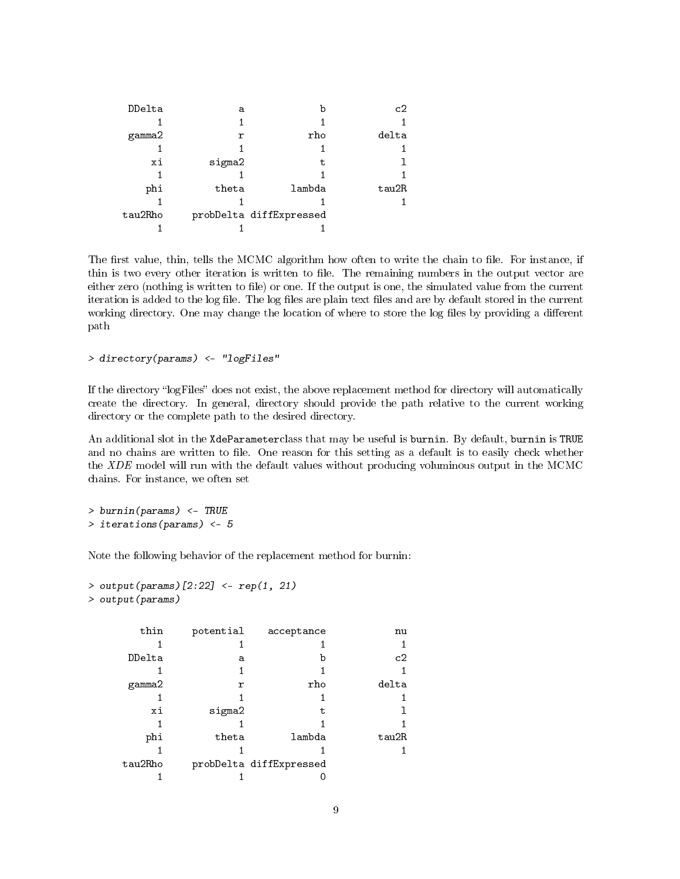| DDelta  | а      |                         | c2    |
|---------|--------|-------------------------|-------|
|         |        |                         |       |
| gamma2  | r      | rho                     | delta |
|         |        |                         |       |
| xi      | sigma2 | t.                      |       |
|         |        |                         |       |
| phi     | theta  | lambda                  | tau2R |
|         |        |                         |       |
| tau2Rho |        | probDelta diffExpressed |       |
|         |        |                         |       |

The first value, thin, tells the MCMC algorithm how often to write the chain to file. For instance, if thin is two every other iteration is written to file. The remaining numbers in the output vector are either zero (nothing is written to file) or one. If the output is one, the simulated value from the current iteration is added to the log file. The log files are plain text files and are by default stored in the current working directory. One may change the location of where to store the log files by providing a different path

> directory(params) <- "logFiles"

If the directory "logFiles" does not exist, the above replacement method for directory will automatically create the directory. In general, directory should provide the path relative to the current working directory or the complete path to the desired directory.

An additional slot in the XdeParameterclass that may be useful is burnin. By default, burnin is TRUE and no chains are written to file. One reason for this setting as a default is to easily check whether the XDE model will run with the default values without producing voluminous output in the MCMC chains. For instance, we often set

> burnin(params) <- TRUE > iterations(params) <- 5

Note the following behavior of the replacement method for burnin:

```
> output(params)[2:22] \le- rep(1, 21)
> output(params)
```

| thin    | potential | acceptance              | nu    |
|---------|-----------|-------------------------|-------|
|         |           |                         |       |
| DDelta  | а         | h                       | c2    |
|         |           |                         |       |
| gamma2  | r         | rho                     | delta |
|         |           |                         |       |
| xi      | sigma2    | t.                      |       |
|         |           |                         |       |
| phi     | theta     | lambda                  | tau2R |
|         |           |                         |       |
| tau2Rho |           | probDelta diffExpressed |       |
|         |           |                         |       |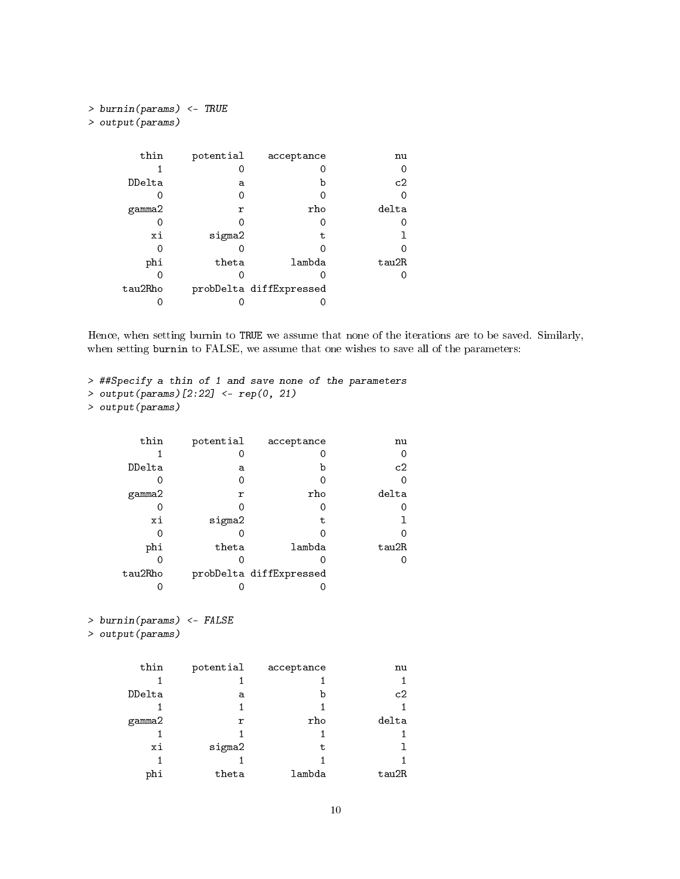| > burnin(params) <- TRUE |           |                         |       |  |  |
|--------------------------|-----------|-------------------------|-------|--|--|
| > output (params)        |           |                         |       |  |  |
|                          |           |                         |       |  |  |
|                          |           |                         |       |  |  |
| thin                     | potential | acceptance              | nu    |  |  |
|                          |           |                         |       |  |  |
| DDelta                   | a         | b                       | c2    |  |  |
|                          |           |                         |       |  |  |
| gamma2                   | r         | rho                     | delta |  |  |
|                          |           |                         |       |  |  |
| хi                       | sigma2    | t.                      |       |  |  |
|                          |           |                         |       |  |  |
| phi                      | theta     | lambda                  | tau2R |  |  |
|                          |           |                         |       |  |  |
| tau2Rho                  |           | probDelta diffExpressed |       |  |  |
|                          |           |                         |       |  |  |

Hence, when setting burnin to TRUE we assume that none of the iterations are to be saved. Similarly, when setting burnin to FALSE, we assume that one wishes to save all of the parameters:

```
> ##Specify a thin of 1 and save none of the parameters
> output(params)[2:22] <- rep(0, 21)
> output(params)
```

| thin    | potential | acceptance              | nu    |
|---------|-----------|-------------------------|-------|
|         |           |                         | 0     |
| DDelta  | а         | b                       | c2    |
|         |           |                         | 0     |
| gamma2  | r         | rho                     | delta |
|         |           |                         | O     |
| хi      | sigma2    | t                       |       |
|         |           |                         |       |
| phi     | theta     | lambda                  | tau2R |
|         |           |                         | O     |
| tau2Rho |           | probDelta diffExpressed |       |
|         |           |                         |       |

```
> burnin(params) <- FALSE
```

```
> output(params)
```

| thin   | potential | acceptance | nu    |
|--------|-----------|------------|-------|
|        |           |            |       |
| DDelta | a         | b          | c2    |
|        |           |            |       |
| gamma2 | r         | rho        | delta |
|        |           |            |       |
| хi     | sigma2    | t.         |       |
|        |           |            |       |
| phi    | theta     | lambda     | tau2R |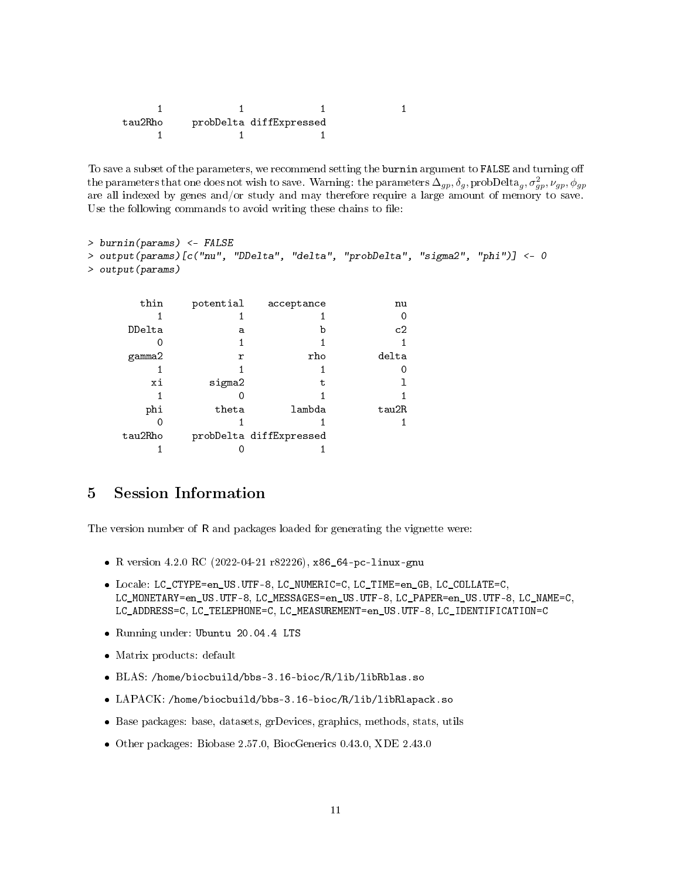| tau2Rho | probDelta diffExpressed |  |
|---------|-------------------------|--|
|         |                         |  |

To save a subset of the parameters, we recommend setting the burnin argument to FALSE and turning o the parameters that one does not wish to save. Warning: the parameters  $\Delta_{gp}, \delta_g,$  prob ${\rm Delta}_g, \sigma_{gp}^2, \nu_{gp}, \phi_{gp}$ are all indexed by genes and/or study and may therefore require a large amount of memory to save. Use the following commands to avoid writing these chains to file:

```
> burnin(params) <- FALSE
> output(params)[c("nu", "DDelta", "delta", "probDelta", "sigma2", "phi")] <- 0
> output(params)
      thin potential acceptance nu
         1 1 0
```

| DDelta  | а      | b                       | c2    |
|---------|--------|-------------------------|-------|
|         |        |                         |       |
| gamma2  | r      | rho                     | delta |
|         |        |                         |       |
| xi      | sigma2 | t                       |       |
|         |        |                         |       |
| phi     | theta  | lambda                  | tau2R |
|         |        |                         |       |
| tau2Rho |        | probDelta diffExpressed |       |
|         |        |                         |       |

## 5 Session Information

The version number of R and packages loaded for generating the vignette were:

- R version 4.2.0 RC (2022-04-21 r82226), x86\_64-pc-linux-gnu
- Locale: LC\_CTYPE=en\_US.UTF-8, LC\_NUMERIC=C, LC\_TIME=en\_GB, LC\_COLLATE=C, LC\_MONETARY=en\_US.UTF-8, LC\_MESSAGES=en\_US.UTF-8, LC\_PAPER=en\_US.UTF-8, LC\_NAME=C, LC\_ADDRESS=C, LC\_TELEPHONE=C, LC\_MEASUREMENT=en\_US.UTF-8, LC\_IDENTIFICATION=C
- Running under: Ubuntu 20.04.4 LTS
- Matrix products: default
- BLAS: /home/biocbuild/bbs-3.16-bioc/R/lib/libRblas.so
- LAPACK: /home/biocbuild/bbs-3.16-bioc/R/lib/libRlapack.so
- Base packages: base, datasets, grDevices, graphics, methods, stats, utils
- Other packages: Biobase 2.57.0, BiocGenerics 0.43.0, XDE 2.43.0